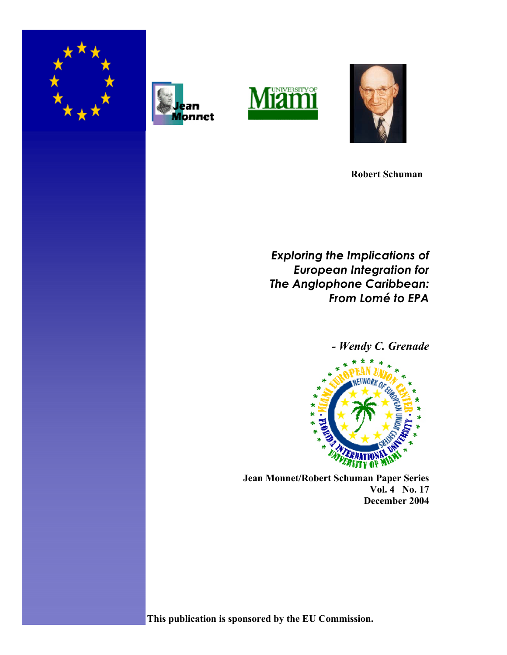







 **Robert Schuman**

*Exploring the Implications of European Integration for The Anglophone Caribbean: From Lomé to EPA* 

*- Wendy C. Grenade*



 **Jean Monnet/Robert Schuman Paper Series Vol. 4 No. 17 December 2004**

**This publication is sponsored by the EU Commission.**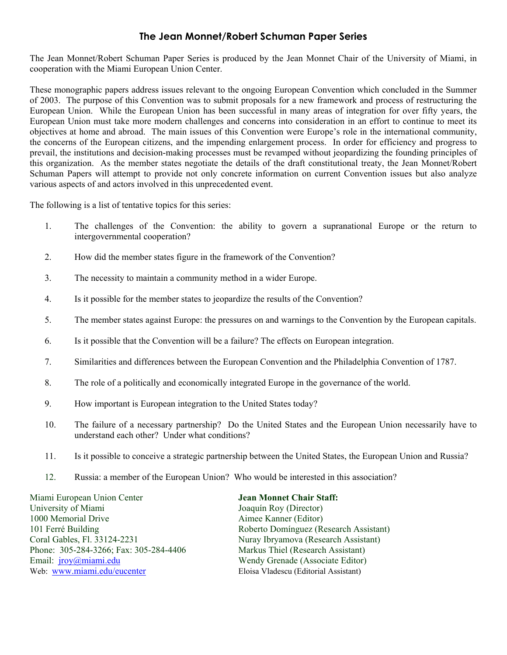# **The Jean Monnet/Robert Schuman Paper Series**

The Jean Monnet/Robert Schuman Paper Series is produced by the Jean Monnet Chair of the University of Miami, in cooperation with the Miami European Union Center.

These monographic papers address issues relevant to the ongoing European Convention which concluded in the Summer of 2003. The purpose of this Convention was to submit proposals for a new framework and process of restructuring the European Union. While the European Union has been successful in many areas of integration for over fifty years, the European Union must take more modern challenges and concerns into consideration in an effort to continue to meet its objectives at home and abroad. The main issues of this Convention were Europe's role in the international community, the concerns of the European citizens, and the impending enlargement process. In order for efficiency and progress to prevail, the institutions and decision-making processes must be revamped without jeopardizing the founding principles of this organization. As the member states negotiate the details of the draft constitutional treaty, the Jean Monnet/Robert Schuman Papers will attempt to provide not only concrete information on current Convention issues but also analyze various aspects of and actors involved in this unprecedented event.

The following is a list of tentative topics for this series:

- 1. The challenges of the Convention: the ability to govern a supranational Europe or the return to intergovernmental cooperation?
- 2. How did the member states figure in the framework of the Convention?
- 3. The necessity to maintain a community method in a wider Europe.
- 4. Is it possible for the member states to jeopardize the results of the Convention?
- 5. The member states against Europe: the pressures on and warnings to the Convention by the European capitals.
- 6. Is it possible that the Convention will be a failure? The effects on European integration.
- 7. Similarities and differences between the European Convention and the Philadelphia Convention of 1787.
- 8. The role of a politically and economically integrated Europe in the governance of the world.
- 9. How important is European integration to the United States today?
- 10. The failure of a necessary partnership? Do the United States and the European Union necessarily have to understand each other? Under what conditions?
- 11. Is it possible to conceive a strategic partnership between the United States, the European Union and Russia?
- 12. Russia: a member of the European Union? Who would be interested in this association?

Miami European Union Center **Jean Monnet Chair Staff:**  University of Miami Joaquín Roy (Director) 1000 Memorial Drive Aimee Kanner (Editor) Coral Gables, Fl. 33124-2231 Nuray Ibryamova (Research Assistant) Phone: 305-284-3266; Fax: 305-284-4406 Markus Thiel (Research Assistant) Email: jroy@miami.edu Wendy Grenade (Associate Editor) Web: www.miami.edu/eucenter Eloisa Vladescu (Editorial Assistant)

101 Ferré Building Roberto Domínguez (Research Assistant)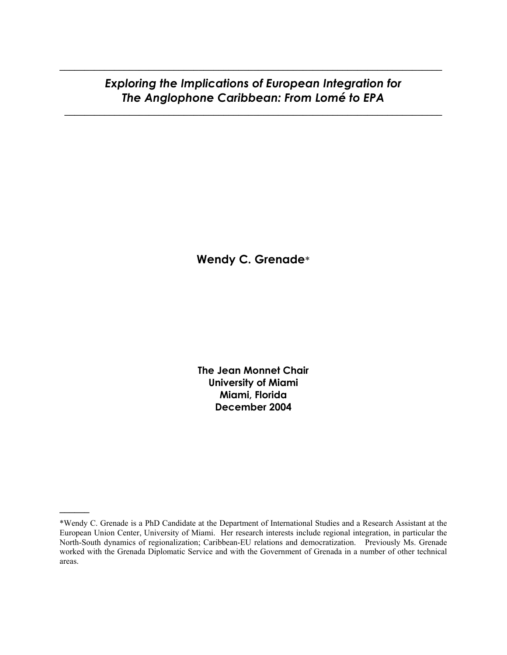*Exploring the Implications of European Integration for The Anglophone Caribbean: From Lomé to EPA* 

 $\mathcal{L} = \{ \mathcal{L} = \{ \mathcal{L} \mid \mathcal{L} = \{ \mathcal{L} \mid \mathcal{L} = \{ \mathcal{L} \mid \mathcal{L} = \{ \mathcal{L} \mid \mathcal{L} = \{ \mathcal{L} \mid \mathcal{L} = \{ \mathcal{L} \mid \mathcal{L} = \{ \mathcal{L} \mid \mathcal{L} = \{ \mathcal{L} \mid \mathcal{L} = \{ \mathcal{L} \mid \mathcal{L} = \{ \mathcal{L} \mid \mathcal{L} = \{ \mathcal{L} \mid \mathcal{L} = \{ \mathcal{L} \mid \mathcal{L} =$ 

 $\mathcal{L} = \{ \mathcal{L} = \{ \mathcal{L} \mid \mathcal{L} = \{ \mathcal{L} \mid \mathcal{L} = \{ \mathcal{L} \mid \mathcal{L} = \{ \mathcal{L} \mid \mathcal{L} = \{ \mathcal{L} \mid \mathcal{L} = \{ \mathcal{L} \mid \mathcal{L} = \{ \mathcal{L} \mid \mathcal{L} = \{ \mathcal{L} \mid \mathcal{L} = \{ \mathcal{L} \mid \mathcal{L} = \{ \mathcal{L} \mid \mathcal{L} = \{ \mathcal{L} \mid \mathcal{L} = \{ \mathcal{L} \mid \mathcal{L} =$ 

**Wendy C. Grenade**\*

**The Jean Monnet Chair University of Miami Miami, Florida December 2004** 

**\_\_\_\_\_\_** 

<sup>\*</sup>Wendy C. Grenade is a PhD Candidate at the Department of International Studies and a Research Assistant at the European Union Center, University of Miami. Her research interests include regional integration, in particular the North-South dynamics of regionalization; Caribbean-EU relations and democratization. Previously Ms. Grenade worked with the Grenada Diplomatic Service and with the Government of Grenada in a number of other technical areas.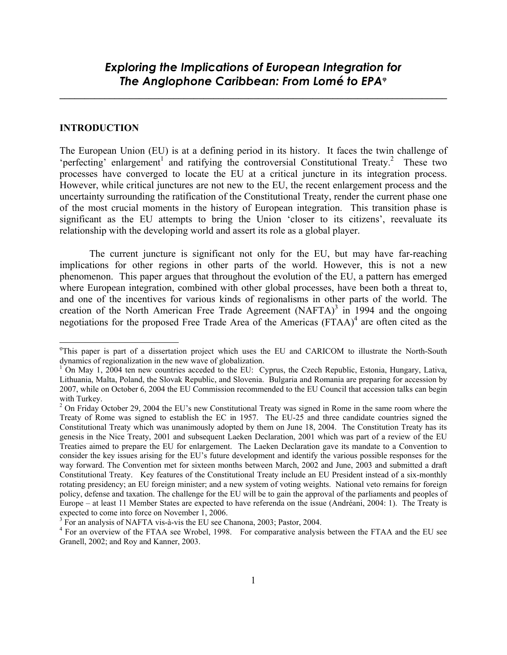**\_\_\_\_\_\_\_\_\_\_\_\_\_\_\_\_\_\_\_\_\_\_\_\_\_\_\_\_\_\_\_\_\_\_\_\_\_\_\_\_\_\_\_\_\_\_\_\_\_\_\_\_\_\_\_\_\_\_\_\_\_\_\_\_\_\_\_\_\_\_\_\_\_\_\_\_\_\_**

## **INTRODUCTION**

 $\overline{\phantom{a}}$ 

The European Union (EU) is at a defining period in its history. It faces the twin challenge of 'perfecting' enlargement<sup>1</sup> and ratifying the controversial Constitutional Treaty.<sup>2</sup> These two processes have converged to locate the EU at a critical juncture in its integration process. However, while critical junctures are not new to the EU, the recent enlargement process and the uncertainty surrounding the ratification of the Constitutional Treaty, render the current phase one of the most crucial moments in the history of European integration. This transition phase is significant as the EU attempts to bring the Union 'closer to its citizens', reevaluate its relationship with the developing world and assert its role as a global player.

The current juncture is significant not only for the EU, but may have far-reaching implications for other regions in other parts of the world. However, this is not a new phenomenon. This paper argues that throughout the evolution of the EU, a pattern has emerged where European integration, combined with other global processes, have been both a threat to, and one of the incentives for various kinds of regionalisms in other parts of the world. The creation of the North American Free Trade Agreement  $(NAFTA)^3$  in 1994 and the ongoing negotiations for the proposed Free Trade Area of the Americas  $(FTAA)^4$  are often cited as the

φ This paper is part of a dissertation project which uses the EU and CARICOM to illustrate the North-South dynamics of regionalization in the new wave of globalization.

<sup>&</sup>lt;sup>1</sup> On May 1, 2004 ten new countries acceded to the EU: Cyprus, the Czech Republic, Estonia, Hungary, Lativa, Lithuania, Malta, Poland, the Slovak Republic, and Slovenia. Bulgaria and Romania are preparing for accession by 2007, while on October 6, 2004 the EU Commission recommended to the EU Council that accession talks can begin with Turkey.

 $2^2$  On Friday October 29, 2004 the EU's new Constitutional Treaty was signed in Rome in the same room where the Treaty of Rome was signed to establish the EC in 1957. The EU-25 and three candidate countries signed the Constitutional Treaty which was unanimously adopted by them on June 18, 2004. The Constitution Treaty has its genesis in the Nice Treaty, 2001 and subsequent Laeken Declaration, 2001 which was part of a review of the EU Treaties aimed to prepare the EU for enlargement. The Laeken Declaration gave its mandate to a Convention to consider the key issues arising for the EU's future development and identify the various possible responses for the way forward. The Convention met for sixteen months between March, 2002 and June, 2003 and submitted a draft Constitutional Treaty. Key features of the Constitutional Treaty include an EU President instead of a six-monthly rotating presidency; an EU foreign minister; and a new system of voting weights. National veto remains for foreign policy, defense and taxation. The challenge for the EU will be to gain the approval of the parliaments and peoples of Europe – at least 11 Member States are expected to have referenda on the issue (Andréani, 2004: 1). The Treaty is expected to come into force on November 1, 2006.<br><sup>3</sup> For an analysis of NAFTA vis-à-vis the EU see Chanona, 2003; Pastor, 2004.

<sup>&</sup>lt;sup>4</sup> For an overview of the FTAA see Wrobel, 1998. For comparative analysis between the FTAA and the EU see Granell, 2002; and Roy and Kanner, 2003.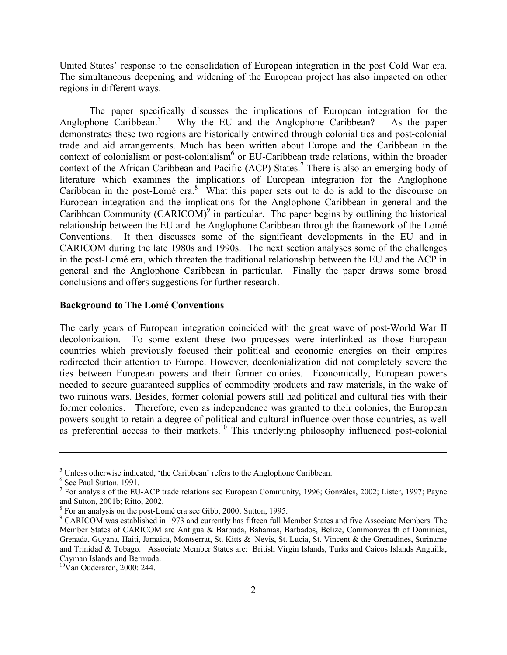United States' response to the consolidation of European integration in the post Cold War era. The simultaneous deepening and widening of the European project has also impacted on other regions in different ways.

The paper specifically discusses the implications of European integration for the Anglophone Caribbean.<sup>5</sup> Why the EU and the Anglophone Caribbean? As the paper demonstrates these two regions are historically entwined through colonial ties and post-colonial trade and aid arrangements. Much has been written about Europe and the Caribbean in the context of colonialism or post-colonialism<sup>6</sup> or EU-Caribbean trade relations, within the broader context of the African Caribbean and Pacific (ACP) States.<sup>7</sup> There is also an emerging body of literature which examines the implications of European integration for the Anglophone Caribbean in the post-Lomé  $era^8$ . What this paper sets out to do is add to the discourse on European integration and the implications for the Anglophone Caribbean in general and the Caribbean Community  $(CARICOM)^9$  in particular. The paper begins by outlining the historical relationship between the EU and the Anglophone Caribbean through the framework of the Lomé Conventions. It then discusses some of the significant developments in the EU and in CARICOM during the late 1980s and 1990s. The next section analyses some of the challenges in the post-Lomé era, which threaten the traditional relationship between the EU and the ACP in general and the Anglophone Caribbean in particular. Finally the paper draws some broad conclusions and offers suggestions for further research.

#### **Background to The Lomé Conventions**

The early years of European integration coincided with the great wave of post-World War II decolonization. To some extent these two processes were interlinked as those European countries which previously focused their political and economic energies on their empires redirected their attention to Europe. However, decolonialization did not completely severe the ties between European powers and their former colonies. Economically, European powers needed to secure guaranteed supplies of commodity products and raw materials, in the wake of two ruinous wars. Besides, former colonial powers still had political and cultural ties with their former colonies. Therefore, even as independence was granted to their colonies, the European powers sought to retain a degree of political and cultural influence over those countries, as well as preferential access to their markets.<sup>10</sup> This underlying philosophy influenced post-colonial

 $<sup>5</sup>$  Unless otherwise indicated, 'the Caribbean' refers to the Anglophone Caribbean.</sup>

<sup>&</sup>lt;sup>6</sup> See Paul Sutton, 1991.

<sup>&</sup>lt;sup>7</sup> For analysis of the EU-ACP trade relations see European Community, 1996; Gonzáles, 2002; Lister, 1997; Payne and Sutton, 2001b; Ritto, 2002.

<sup>&</sup>lt;sup>8</sup> For an analysis on the post-Lomé era see Gibb. 2000: Sutton, 1995.

 $^8$  For an analysis on the post-Lomé era see Gibb, 2000; Sutton, 1995.<br><sup>9</sup> CARICOM was established in 1973 and currently has fifteen full Member States and five Associate Members. The Member States of CARICOM are Antigua & Barbuda, Bahamas, Barbados, Belize, Commonwealth of Dominica, Grenada, Guyana, Haiti, Jamaica, Montserrat, St. Kitts & Nevis, St. Lucia, St. Vincent & the Grenadines, Suriname and Trinidad & Tobago. Associate Member States are: British Virgin Islands, Turks and Caicos Islands Anguilla, Cayman Islands and Bermuda.

<sup>10</sup>Van Ouderaren, 2000: 244.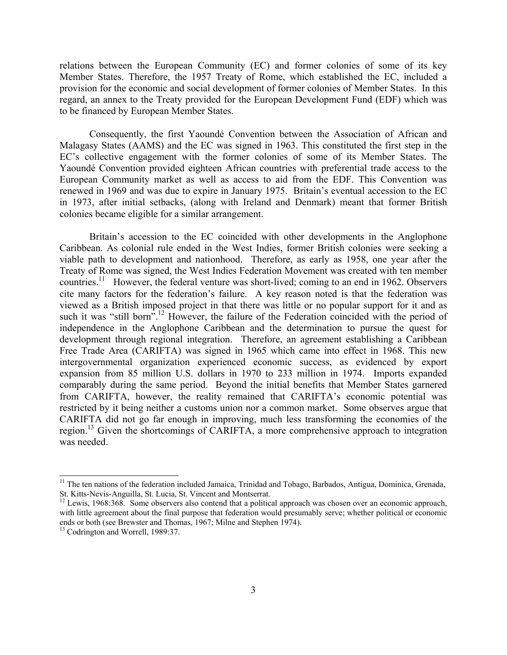relations between the European Community (EC) and former colonies of some of its key Member States. Therefore, the 1957 Treaty of Rome, which established the EC, included a provision for the economic and social development of former colonies of Member States. In this regard, an annex to the Treaty provided for the European Development Fund (EDF) which was to be financed by European Member States.

Consequently, the first Yaoundé Convention between the Association of African and Malagasy States (AAMS) and the EC was signed in 1963. This constituted the first step in the EC's collective engagement with the former colonies of some of its Member States. The Yaoundé Convention provided eighteen African countries with preferential trade access to the European Community market as well as access to aid from the EDF. This Convention was renewed in 1969 and was due to expire in January 1975. Britain's eventual accession to the EC in 1973, after initial setbacks, (along with Ireland and Denmark) meant that former British colonies became eligible for a similar arrangement.

Britain's accession to the EC coincided with other developments in the Anglophone Caribbean. As colonial rule ended in the West Indies, former British colonies were seeking a viable path to development and nationhood. Therefore, as early as 1958, one year after the Treaty of Rome was signed, the West Indies Federation Movement was created with ten member countries.<sup>11</sup> However, the federal venture was short-lived; coming to an end in 1962. Observers cite many factors for the federation's failure. A key reason noted is that the federation was viewed as a British imposed project in that there was little or no popular support for it and as such it was "still born".<sup>12</sup> However, the failure of the Federation coincided with the period of independence in the Anglophone Caribbean and the determination to pursue the quest for development through regional integration. Therefore, an agreement establishing a Caribbean Free Trade Area (CARIFTA) was signed in 1965 which came into effect in 1968. This new intergovernmental organization experienced economic success, as evidenced by export expansion from 85 million U.S. dollars in 1970 to 233 million in 1974. Imports expanded comparably during the same period. Beyond the initial benefits that Member States garnered from CARIFTA, however, the reality remained that CARIFTA's economic potential was restricted by it being neither a customs union nor a common market. Some observes argue that CARIFTA did not go far enough in improving, much less transforming the economies of the region.<sup>13</sup> Given the shortcomings of CARIFTA, a more comprehensive approach to integration was needed.

<sup>&</sup>lt;sup>11</sup> The ten nations of the federation included Jamaica, Trinidad and Tobago, Barbados, Antigua, Dominica, Grenada, St. Kitts-Nevis-Anguilla, St. Lucia, St. Vincent and Montserrat.

 $12$  Lewis, 1968:368. Some observers also contend that a political approach was chosen over an economic approach, with little agreement about the final purpose that federation would presumably serve; whether political or economic ends or both (see Brewster and Thomas, 1967; Milne and Stephen 1974). 13 Codrington and Worrell, 1989:37.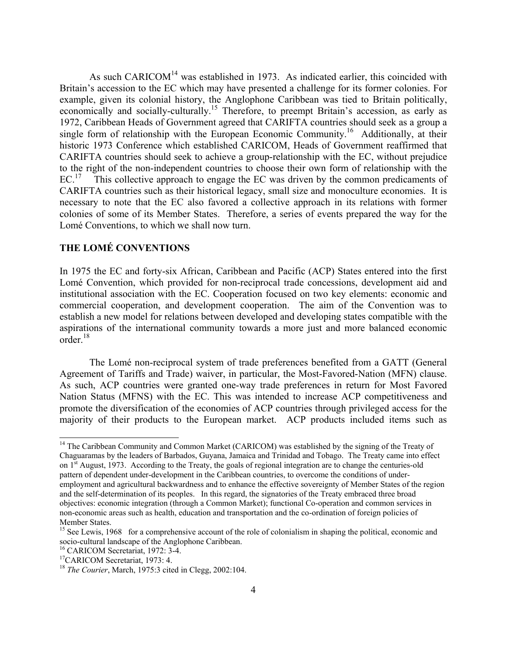As such CARICOM<sup>14</sup> was established in 1973. As indicated earlier, this coincided with Britain's accession to the EC which may have presented a challenge for its former colonies. For example, given its colonial history, the Anglophone Caribbean was tied to Britain politically, economically and socially-culturally.<sup>15</sup> Therefore, to preempt Britain's accession, as early as 1972, Caribbean Heads of Government agreed that CARIFTA countries should seek as a group a single form of relationship with the European Economic Community.<sup>16</sup> Additionally, at their historic 1973 Conference which established CARICOM, Heads of Government reaffirmed that CARIFTA countries should seek to achieve a group-relationship with the EC, without prejudice to the right of the non-independent countries to choose their own form of relationship with the EC.<sup>17</sup> This collective approach to engage the EC was driven by the common predicaments of CARIFTA countries such as their historical legacy, small size and monoculture economies. It is necessary to note that the EC also favored a collective approach in its relations with former colonies of some of its Member States. Therefore, a series of events prepared the way for the Lomé Conventions, to which we shall now turn.

## **THE LOMÉ CONVENTIONS**

In 1975 the EC and forty-six African, Caribbean and Pacific (ACP) States entered into the first Lomé Convention, which provided for non-reciprocal trade concessions, development aid and institutional association with the EC. Cooperation focused on two key elements: economic and commercial cooperation, and development cooperation. The aim of the Convention was to establish a new model for relations between developed and developing states compatible with the aspirations of the international community towards a more just and more balanced economic order.18

The Lomé non-reciprocal system of trade preferences benefited from a GATT (General Agreement of Tariffs and Trade) waiver, in particular, the Most-Favored-Nation (MFN) clause. As such, ACP countries were granted one-way trade preferences in return for Most Favored Nation Status (MFNS) with the EC. This was intended to increase ACP competitiveness and promote the diversification of the economies of ACP countries through privileged access for the majority of their products to the European market. ACP products included items such as

<sup>&</sup>lt;sup>14</sup> The Caribbean Community and Common Market (CARICOM) was established by the signing of the Treaty of Chaguaramas by the leaders of Barbados, Guyana, Jamaica and Trinidad and Tobago. The Treaty came into effect on 1<sup>st</sup> August, 1973. According to the Treaty, the goals of regional integration are to change the centuries-old pattern of dependent under-development in the Caribbean countries, to overcome the conditions of underemployment and agricultural backwardness and to enhance the effective sovereignty of Member States of the region and the self-determination of its peoples. In this regard, the signatories of the Treaty embraced three broad objectives: economic integration (through a Common Market); functional Co-operation and common services in non-economic areas such as health, education and transportation and the co-ordination of foreign policies of Member States.

<sup>&</sup>lt;sup>15</sup> See Lewis, 1968 for a comprehensive account of the role of colonialism in shaping the political, economic and socio-cultural landscape of the Anglophone Caribbean.<br><sup>16</sup> CARICOM Secretariat, 1972: 3-4.

<sup>&</sup>lt;sup>17</sup> CARICOM Secretariat, 1973: 4. <sup>18</sup> *The Courier*, March, 1975:3 cited in Clegg, 2002:104.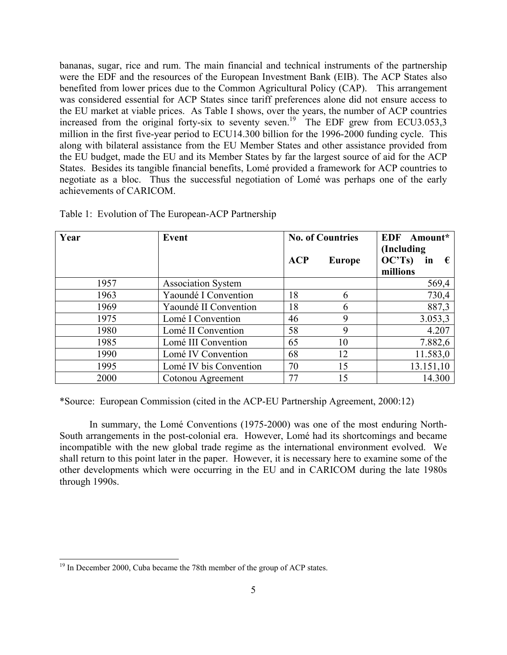bananas, sugar, rice and rum. The main financial and technical instruments of the partnership were the EDF and the resources of the European Investment Bank (EIB). The ACP States also benefited from lower prices due to the Common Agricultural Policy (CAP). This arrangement was considered essential for ACP States since tariff preferences alone did not ensure access to the EU market at viable prices. As Table I shows, over the years, the number of ACP countries increased from the original forty-six to seventy seven.<sup>19</sup> The EDF grew from ECU3.053,3 million in the first five-year period to ECU14.300 billion for the 1996-2000 funding cycle. This along with bilateral assistance from the EU Member States and other assistance provided from the EU budget, made the EU and its Member States by far the largest source of aid for the ACP States. Besides its tangible financial benefits, Lomé provided a framework for ACP countries to negotiate as a bloc. Thus the successful negotiation of Lomé was perhaps one of the early achievements of CARICOM.

| Year | Event                     |            | <b>No. of Countries</b> | <b>EDF</b><br>Amount*<br>(Including)   |  |  |
|------|---------------------------|------------|-------------------------|----------------------------------------|--|--|
|      |                           | <b>ACP</b> | <b>Europe</b>           | OC'Ts)<br>in<br>$\epsilon$<br>millions |  |  |
| 1957 | <b>Association System</b> |            |                         | 569,4                                  |  |  |
| 1963 | Yaoundé I Convention      | 18         | 6                       | 730,4                                  |  |  |
| 1969 | Yaoundé II Convention     | 18         | 6                       | 887,3                                  |  |  |
| 1975 | Lomé I Convention         | 46         | 9                       | 3.053,3                                |  |  |
| 1980 | Lomé II Convention        | 58         | 9                       | 4.207                                  |  |  |
| 1985 | Lomé III Convention       | 65         | 10                      | 7.882,6                                |  |  |
| 1990 | Lomé IV Convention        | 68         | 12                      | 11.583,0                               |  |  |
| 1995 | Lomé IV bis Convention    | 70         | 15                      | 13.151,10                              |  |  |
| 2000 | Cotonou Agreement         | 77         | 15                      | 14.300                                 |  |  |

Table 1: Evolution of The European-ACP Partnership

\*Source: European Commission (cited in the ACP-EU Partnership Agreement, 2000:12)

In summary, the Lomé Conventions (1975-2000) was one of the most enduring North-South arrangements in the post-colonial era. However, Lomé had its shortcomings and became incompatible with the new global trade regime as the international environment evolved. We shall return to this point later in the paper. However, it is necessary here to examine some of the other developments which were occurring in the EU and in CARICOM during the late 1980s through 1990s.

<sup>&</sup>lt;sup>19</sup> In December 2000, Cuba became the 78th member of the group of ACP states.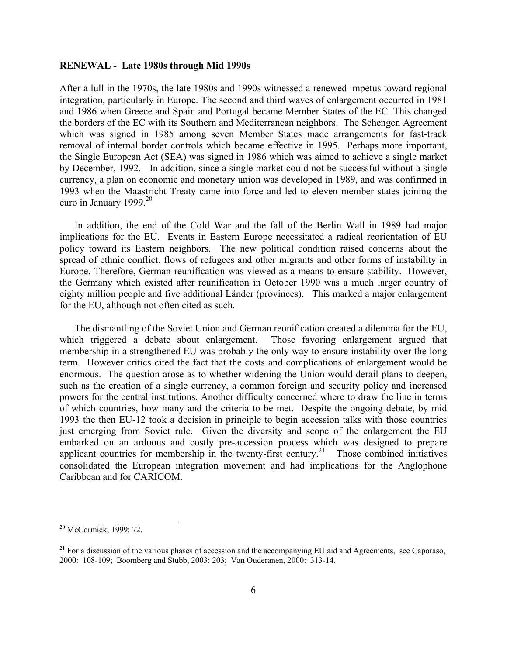#### **RENEWAL - Late 1980s through Mid 1990s**

After a lull in the 1970s, the late 1980s and 1990s witnessed a renewed impetus toward regional integration, particularly in Europe. The second and third waves of enlargement occurred in 1981 and 1986 when Greece and Spain and Portugal became Member States of the EC. This changed the borders of the EC with its Southern and Mediterranean neighbors. The Schengen Agreement which was signed in 1985 among seven Member States made arrangements for fast-track removal of internal border controls which became effective in 1995. Perhaps more important, the Single European Act (SEA) was signed in 1986 which was aimed to achieve a single market by December, 1992. In addition, since a single market could not be successful without a single currency, a plan on economic and monetary union was developed in 1989, and was confirmed in 1993 when the Maastricht Treaty came into force and led to eleven member states joining the euro in January 1999. $20$ 

In addition, the end of the Cold War and the fall of the Berlin Wall in 1989 had major implications for the EU. Events in Eastern Europe necessitated a radical reorientation of EU policy toward its Eastern neighbors. The new political condition raised concerns about the spread of ethnic conflict, flows of refugees and other migrants and other forms of instability in Europe. Therefore, German reunification was viewed as a means to ensure stability. However, the Germany which existed after reunification in October 1990 was a much larger country of eighty million people and five additional Länder (provinces). This marked a major enlargement for the EU, although not often cited as such.

The dismantling of the Soviet Union and German reunification created a dilemma for the EU, which triggered a debate about enlargement. Those favoring enlargement argued that membership in a strengthened EU was probably the only way to ensure instability over the long term. However critics cited the fact that the costs and complications of enlargement would be enormous. The question arose as to whether widening the Union would derail plans to deepen, such as the creation of a single currency, a common foreign and security policy and increased powers for the central institutions. Another difficulty concerned where to draw the line in terms of which countries, how many and the criteria to be met. Despite the ongoing debate, by mid 1993 the then EU-12 took a decision in principle to begin accession talks with those countries just emerging from Soviet rule. Given the diversity and scope of the enlargement the EU embarked on an arduous and costly pre-accession process which was designed to prepare applicant countries for membership in the twenty-first century.<sup>21</sup> Those combined initiatives consolidated the European integration movement and had implications for the Anglophone Caribbean and for CARICOM.

<sup>&</sup>lt;sup>20</sup> McCormick, 1999: 72.

 $21$  For a discussion of the various phases of accession and the accompanying EU aid and Agreements, see Caporaso, 2000: 108-109; Boomberg and Stubb, 2003: 203; Van Ouderanen, 2000: 313-14.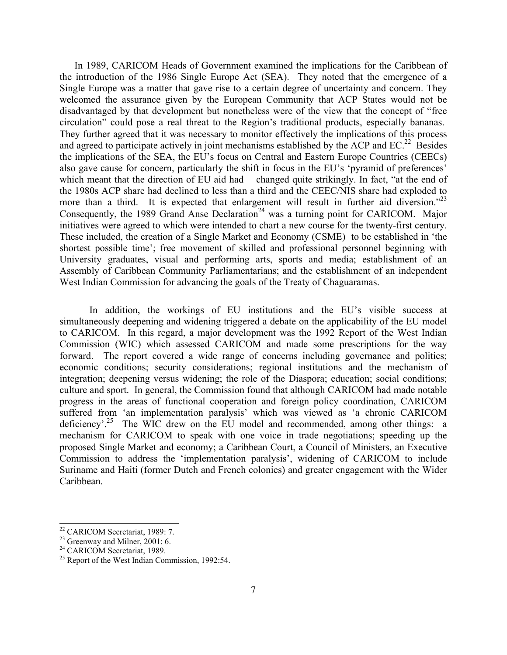In 1989, CARICOM Heads of Government examined the implications for the Caribbean of the introduction of the 1986 Single Europe Act (SEA). They noted that the emergence of a Single Europe was a matter that gave rise to a certain degree of uncertainty and concern. They welcomed the assurance given by the European Community that ACP States would not be disadvantaged by that development but nonetheless were of the view that the concept of "free circulation" could pose a real threat to the Region's traditional products, especially bananas. They further agreed that it was necessary to monitor effectively the implications of this process and agreed to participate actively in joint mechanisms established by the ACP and  $EC^{22}$  Besides the implications of the SEA, the EU's focus on Central and Eastern Europe Countries (CEECs) also gave cause for concern, particularly the shift in focus in the EU's 'pyramid of preferences' which meant that the direction of EU aid had changed quite strikingly. In fact, "at the end of the 1980s ACP share had declined to less than a third and the CEEC/NIS share had exploded to more than a third. It is expected that enlargement will result in further aid diversion."<sup>23</sup> Consequently, the 1989 Grand Anse Declaration<sup>24</sup> was a turning point for CARICOM. Major initiatives were agreed to which were intended to chart a new course for the twenty-first century. These included, the creation of a Single Market and Economy (CSME) to be established in 'the shortest possible time'; free movement of skilled and professional personnel beginning with University graduates, visual and performing arts, sports and media; establishment of an Assembly of Caribbean Community Parliamentarians; and the establishment of an independent West Indian Commission for advancing the goals of the Treaty of Chaguaramas.

In addition, the workings of EU institutions and the EU's visible success at simultaneously deepening and widening triggered a debate on the applicability of the EU model to CARICOM. In this regard, a major development was the 1992 Report of the West Indian Commission (WIC) which assessed CARICOM and made some prescriptions for the way forward. The report covered a wide range of concerns including governance and politics; economic conditions; security considerations; regional institutions and the mechanism of integration; deepening versus widening; the role of the Diaspora; education; social conditions; culture and sport. In general, the Commission found that although CARICOM had made notable progress in the areas of functional cooperation and foreign policy coordination, CARICOM suffered from 'an implementation paralysis' which was viewed as 'a chronic CARICOM deficiency'<sup>25</sup>. The WIC drew on the EU model and recommended, among other things: a mechanism for CARICOM to speak with one voice in trade negotiations; speeding up the proposed Single Market and economy; a Caribbean Court, a Council of Ministers, an Executive Commission to address the 'implementation paralysis', widening of CARICOM to include Suriname and Haiti (former Dutch and French colonies) and greater engagement with the Wider Caribbean.

<sup>&</sup>lt;sup>22</sup> CARICOM Secretariat, 1989: 7.<br><sup>23</sup> Greenway and Milner, 2001: 6.<br><sup>24</sup> CARICOM Secretariat, 1989.

 $25$  Report of the West Indian Commission, 1992:54.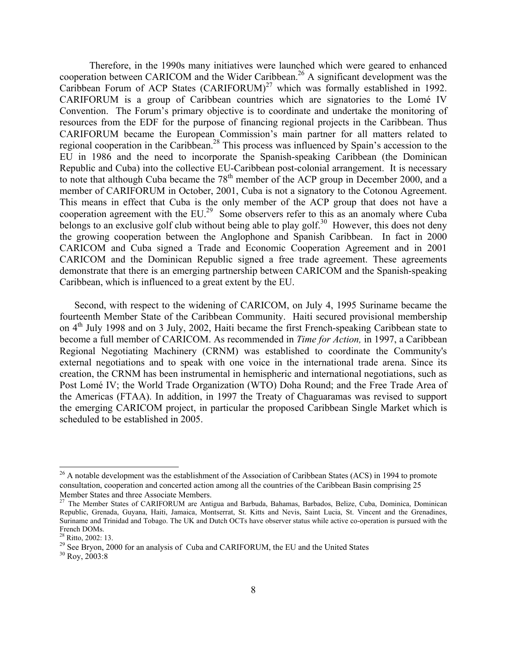Therefore, in the 1990s many initiatives were launched which were geared to enhanced cooperation between CARICOM and the Wider Caribbean.<sup>26</sup> A significant development was the Caribbean Forum of ACP States  $(CARIFORM)^{27}$  which was formally established in 1992. CARIFORUM is a group of Caribbean countries which are signatories to the Lomé IV Convention. The Forum's primary objective is to coordinate and undertake the monitoring of resources from the EDF for the purpose of financing regional projects in the Caribbean. Thus CARIFORUM became the European Commission's main partner for all matters related to regional cooperation in the Caribbean.28 This process was influenced by Spain's accession to the EU in 1986 and the need to incorporate the Spanish-speaking Caribbean (the Dominican Republic and Cuba) into the collective EU-Caribbean post-colonial arrangement. It is necessary to note that although Cuba became the  $78<sup>th</sup>$  member of the ACP group in December 2000, and a member of CARIFORUM in October, 2001, Cuba is not a signatory to the Cotonou Agreement. This means in effect that Cuba is the only member of the ACP group that does not have a cooperation agreement with the  $EU^{29}$  Some observers refer to this as an anomaly where Cuba belongs to an exclusive golf club without being able to play golf.<sup>30</sup> However, this does not deny the growing cooperation between the Anglophone and Spanish Caribbean. In fact in 2000 CARICOM and Cuba signed a Trade and Economic Cooperation Agreement and in 2001 CARICOM and the Dominican Republic signed a free trade agreement. These agreements demonstrate that there is an emerging partnership between CARICOM and the Spanish-speaking Caribbean, which is influenced to a great extent by the EU.

Second, with respect to the widening of CARICOM, on July 4, 1995 Suriname became the fourteenth Member State of the Caribbean Community. Haiti secured provisional membership on 4<sup>th</sup> July 1998 and on 3 July, 2002, Haiti became the first French-speaking Caribbean state to become a full member of CARICOM. As recommended in *Time for Action,* in 1997, a Caribbean Regional Negotiating Machinery (CRNM) was established to coordinate the Community's external negotiations and to speak with one voice in the international trade arena. Since its creation, the CRNM has been instrumental in hemispheric and international negotiations, such as Post Lomé IV; the World Trade Organization (WTO) Doha Round; and the Free Trade Area of the Americas (FTAA). In addition, in 1997 the Treaty of Chaguaramas was revised to support the emerging CARICOM project, in particular the proposed Caribbean Single Market which is scheduled to be established in 2005.

 $^{26}$  A notable development was the establishment of the Association of Caribbean States (ACS) in 1994 to promote consultation, cooperation and concerted action among all the countries of the Caribbean Basin comprising 25 Member States and three Associate Members.

<sup>&</sup>lt;sup>27</sup> The Member States of CARIFORUM are Antigua and Barbuda, Bahamas, Barbados, Belize, Cuba, Dominica, Dominican Republic, Grenada, Guyana, Haiti, Jamaica, Montserrat, St. Kitts and Nevis, Saint Lucia, St. Vincent and the Grenadines, Suriname and Trinidad and Tobago. The UK and Dutch OCTs have observer status while active co-operation is pursued with the French DOMs.

<sup>28</sup> Ritto, 2002: 13.

<sup>&</sup>lt;sup>29</sup> See Bryon, 2000 for an analysis of Cuba and CARIFORUM, the EU and the United States  $^{30}$  Roy, 2003:8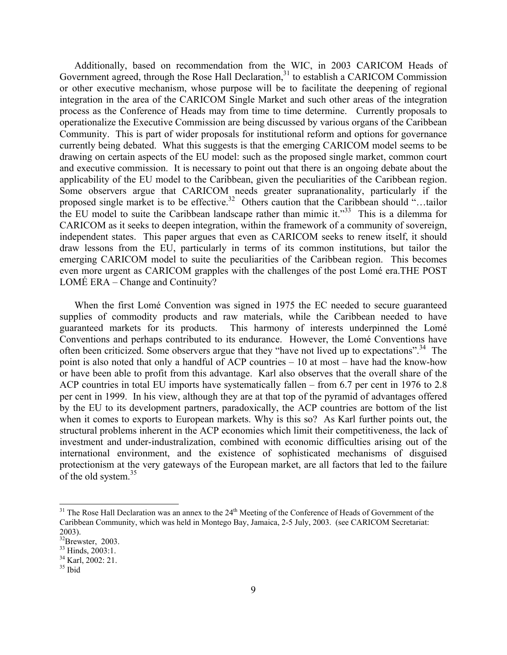Additionally, based on recommendation from the WIC, in 2003 CARICOM Heads of Government agreed, through the Rose Hall Declaration, $31$  to establish a CARICOM Commission or other executive mechanism, whose purpose will be to facilitate the deepening of regional integration in the area of the CARICOM Single Market and such other areas of the integration process as the Conference of Heads may from time to time determine. Currently proposals to operationalize the Executive Commission are being discussed by various organs of the Caribbean Community. This is part of wider proposals for institutional reform and options for governance currently being debated. What this suggests is that the emerging CARICOM model seems to be drawing on certain aspects of the EU model: such as the proposed single market, common court and executive commission. It is necessary to point out that there is an ongoing debate about the applicability of the EU model to the Caribbean, given the peculiarities of the Caribbean region. Some observers argue that CARICOM needs greater supranationality, particularly if the proposed single market is to be effective.<sup>32</sup> Others caution that the Caribbean should "...tailor the EU model to suite the Caribbean landscape rather than mimic it."<sup>33</sup> This is a dilemma for CARICOM as it seeks to deepen integration, within the framework of a community of sovereign, independent states. This paper argues that even as CARICOM seeks to renew itself, it should draw lessons from the EU, particularly in terms of its common institutions, but tailor the emerging CARICOM model to suite the peculiarities of the Caribbean region. This becomes even more urgent as CARICOM grapples with the challenges of the post Lomé era.THE POST LOMÉ ERA – Change and Continuity?

When the first Lomé Convention was signed in 1975 the EC needed to secure guaranteed supplies of commodity products and raw materials, while the Caribbean needed to have guaranteed markets for its products. This harmony of interests underpinned the Lomé Conventions and perhaps contributed to its endurance. However, the Lomé Conventions have often been criticized. Some observers argue that they "have not lived up to expectations".<sup>34</sup> The point is also noted that only a handful of ACP countries – 10 at most – have had the know-how or have been able to profit from this advantage. Karl also observes that the overall share of the ACP countries in total EU imports have systematically fallen – from 6.7 per cent in 1976 to 2.8 per cent in 1999. In his view, although they are at that top of the pyramid of advantages offered by the EU to its development partners, paradoxically, the ACP countries are bottom of the list when it comes to exports to European markets. Why is this so? As Karl further points out, the structural problems inherent in the ACP economies which limit their competitiveness, the lack of investment and under-industralization, combined with economic difficulties arising out of the international environment, and the existence of sophisticated mechanisms of disguised protectionism at the very gateways of the European market, are all factors that led to the failure of the old system.<sup>35</sup>

 $31$  The Rose Hall Declaration was an annex to the  $24<sup>th</sup>$  Meeting of the Conference of Heads of Government of the Caribbean Community, which was held in Montego Bay, Jamaica, 2-5 July, 2003. (see CARICOM Secretariat: 2003).

<sup>&</sup>lt;sup>32</sup>Brewster, 2003.

<sup>&</sup>lt;sup>33</sup> Hinds, 2003:1.

<sup>&</sup>lt;sup>34</sup> Karl, 2002: 21.

<sup>35</sup> Ibid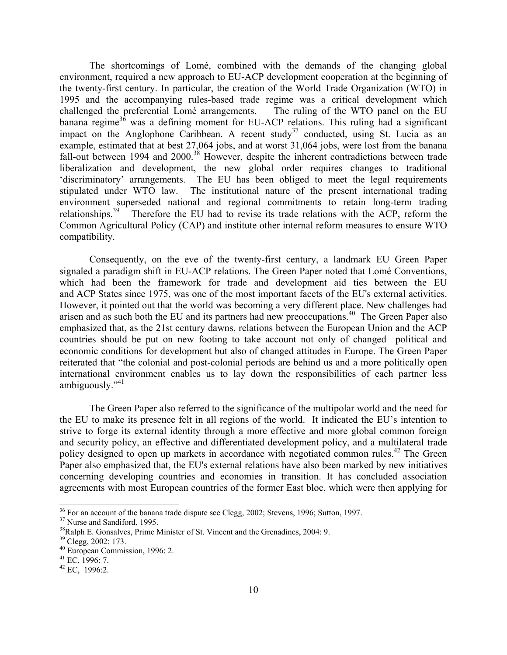The shortcomings of Lomé, combined with the demands of the changing global environment, required a new approach to EU-ACP development cooperation at the beginning of the twenty-first century. In particular, the creation of the World Trade Organization (WTO) in 1995 and the accompanying rules-based trade regime was a critical development which challenged the preferential Lomé arrangements. The ruling of the WTO panel on the EU banana regime $36$  was a defining moment for EU-ACP relations. This ruling had a significant impact on the Anglophone Caribbean. A recent study<sup>37</sup> conducted, using St. Lucia as an example, estimated that at best 27,064 jobs, and at worst 31,064 jobs, were lost from the banana fall-out between 1994 and 2000.<sup>38</sup> However, despite the inherent contradictions between trade liberalization and development, the new global order requires changes to traditional 'discriminatory' arrangements. The EU has been obliged to meet the legal requirements stipulated under WTO law. The institutional nature of the present international trading environment superseded national and regional commitments to retain long-term trading relationships.<sup>39</sup> Therefore the EU had to revise its trade relations with the ACP, reform the Common Agricultural Policy (CAP) and institute other internal reform measures to ensure WTO compatibility.

Consequently, on the eve of the twenty-first century, a landmark EU Green Paper signaled a paradigm shift in EU-ACP relations. The Green Paper noted that Lomé Conventions, which had been the framework for trade and development aid ties between the EU and ACP States since 1975, was one of the most important facets of the EU's external activities. However, it pointed out that the world was becoming a very different place. New challenges had arisen and as such both the EU and its partners had new preoccupations.<sup>40</sup> The Green Paper also emphasized that, as the 21st century dawns, relations between the European Union and the ACP countries should be put on new footing to take account not only of changed political and economic conditions for development but also of changed attitudes in Europe. The Green Paper reiterated that "the colonial and post-colonial periods are behind us and a more politically open international environment enables us to lay down the responsibilities of each partner less ambiguously."<sup>41</sup>

The Green Paper also referred to the significance of the multipolar world and the need for the EU to make its presence felt in all regions of the world. It indicated the EU's intention to strive to forge its external identity through a more effective and more global common foreign and security policy, an effective and differentiated development policy, and a multilateral trade policy designed to open up markets in accordance with negotiated common rules.<sup>42</sup> The Green Paper also emphasized that, the EU's external relations have also been marked by new initiatives concerning developing countries and economies in transition. It has concluded association agreements with most European countries of the former East bloc, which were then applying for

<sup>&</sup>lt;sup>36</sup> For an account of the banana trade dispute see Clegg, 2002; Stevens, 1996; Sutton, 1997.

<sup>&</sup>lt;sup>37</sup> Nurse and Sandiford, 1995.

<sup>&</sup>lt;sup>38</sup>Ralph E. Gonsalves, Prime Minister of St. Vincent and the Grenadines, 2004: 9.

<sup>39</sup> Clegg, 2002: 173.

<sup>40</sup> European Commission, 1996: 2.

 $41$  EC, 1996: 7.

 $42$  EC, 1996:2.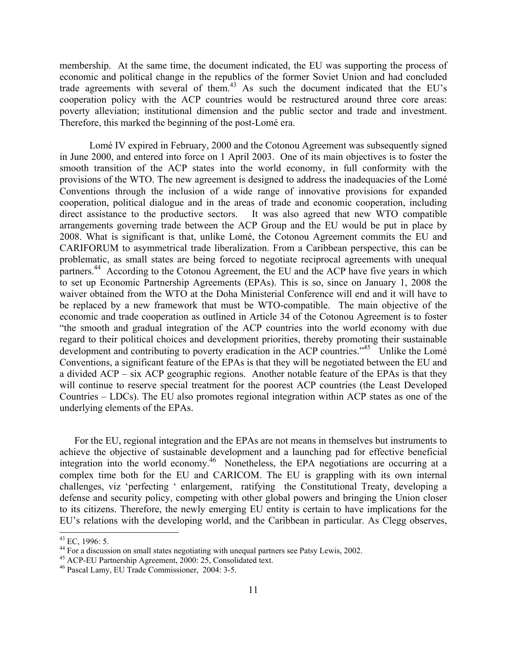membership. At the same time, the document indicated, the EU was supporting the process of economic and political change in the republics of the former Soviet Union and had concluded trade agreements with several of them.43 As such the document indicated that the EU's cooperation policy with the ACP countries would be restructured around three core areas: poverty alleviation; institutional dimension and the public sector and trade and investment. Therefore, this marked the beginning of the post-Lomé era.

Lomé IV expired in February, 2000 and the Cotonou Agreement was subsequently signed in June 2000, and entered into force on 1 April 2003. One of its main objectives is to foster the smooth transition of the ACP states into the world economy, in full conformity with the provisions of the WTO. The new agreement is designed to address the inadequacies of the Lomé Conventions through the inclusion of a wide range of innovative provisions for expanded cooperation, political dialogue and in the areas of trade and economic cooperation, including direct assistance to the productive sectors. It was also agreed that new WTO compatible arrangements governing trade between the ACP Group and the EU would be put in place by 2008. What is significant is that, unlike Lomé, the Cotonou Agreement commits the EU and CARIFORUM to asymmetrical trade liberalization. From a Caribbean perspective, this can be problematic, as small states are being forced to negotiate reciprocal agreements with unequal partners.<sup>44</sup> According to the Cotonou Agreement, the EU and the ACP have five years in which to set up Economic Partnership Agreements (EPAs). This is so, since on January 1, 2008 the waiver obtained from the WTO at the Doha Ministerial Conference will end and it will have to be replaced by a new framework that must be WTO-compatible. The main objective of the economic and trade cooperation as outlined in Article 34 of the Cotonou Agreement is to foster "the smooth and gradual integration of the ACP countries into the world economy with due regard to their political choices and development priorities, thereby promoting their sustainable development and contributing to poverty eradication in the ACP countries."<sup>45</sup> Unlike the Lomé Conventions, a significant feature of the EPAs is that they will be negotiated between the EU and a divided ACP – six ACP geographic regions. Another notable feature of the EPAs is that they will continue to reserve special treatment for the poorest ACP countries (the Least Developed Countries – LDCs). The EU also promotes regional integration within ACP states as one of the underlying elements of the EPAs.

For the EU, regional integration and the EPAs are not means in themselves but instruments to achieve the objective of sustainable development and a launching pad for effective beneficial integration into the world economy.46 Nonetheless, the EPA negotiations are occurring at a complex time both for the EU and CARICOM. The EU is grappling with its own internal challenges, viz 'perfecting ' enlargement, ratifying the Constitutional Treaty, developing a defense and security policy, competing with other global powers and bringing the Union closer to its citizens. Therefore, the newly emerging EU entity is certain to have implications for the EU's relations with the developing world, and the Caribbean in particular. As Clegg observes,

 $43$  EC, 1996: 5.

<sup>&</sup>lt;sup>44</sup> For a discussion on small states negotiating with unequal partners see Patsy Lewis, 2002.

<sup>45</sup> ACP-EU Partnership Agreement, 2000: 25, Consolidated text.

<sup>46</sup> Pascal Lamy, EU Trade Commissioner, 2004: 3-5.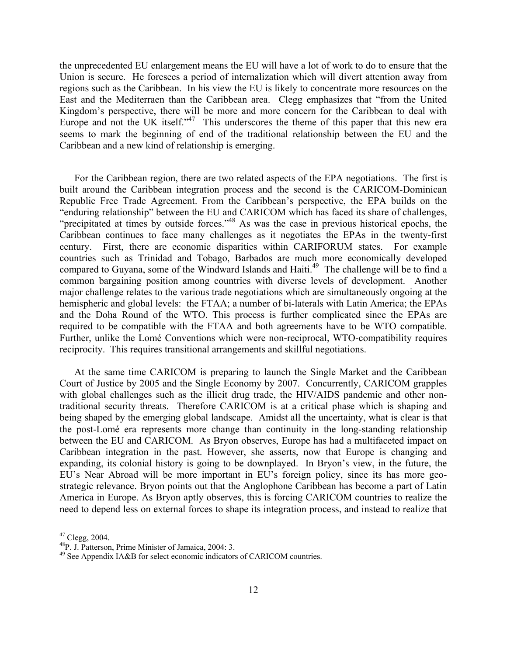the unprecedented EU enlargement means the EU will have a lot of work to do to ensure that the Union is secure. He foresees a period of internalization which will divert attention away from regions such as the Caribbean. In his view the EU is likely to concentrate more resources on the East and the Mediterraen than the Caribbean area. Clegg emphasizes that "from the United Kingdom's perspective, there will be more and more concern for the Caribbean to deal with Europe and not the UK itself." $47$  This underscores the theme of this paper that this new era seems to mark the beginning of end of the traditional relationship between the EU and the Caribbean and a new kind of relationship is emerging.

For the Caribbean region, there are two related aspects of the EPA negotiations. The first is built around the Caribbean integration process and the second is the CARICOM-Dominican Republic Free Trade Agreement. From the Caribbean's perspective, the EPA builds on the "enduring relationship" between the EU and CARICOM which has faced its share of challenges, "precipitated at times by outside forces."48 As was the case in previous historical epochs, the Caribbean continues to face many challenges as it negotiates the EPAs in the twenty-first century. First, there are economic disparities within CARIFORUM states. For example countries such as Trinidad and Tobago, Barbados are much more economically developed compared to Guyana, some of the Windward Islands and Haiti.<sup>49</sup> The challenge will be to find a common bargaining position among countries with diverse levels of development. Another major challenge relates to the various trade negotiations which are simultaneously ongoing at the hemispheric and global levels: the FTAA; a number of bi-laterals with Latin America; the EPAs and the Doha Round of the WTO. This process is further complicated since the EPAs are required to be compatible with the FTAA and both agreements have to be WTO compatible. Further, unlike the Lomé Conventions which were non-reciprocal, WTO-compatibility requires reciprocity. This requires transitional arrangements and skillful negotiations.

At the same time CARICOM is preparing to launch the Single Market and the Caribbean Court of Justice by 2005 and the Single Economy by 2007. Concurrently, CARICOM grapples with global challenges such as the illicit drug trade, the HIV/AIDS pandemic and other nontraditional security threats. Therefore CARICOM is at a critical phase which is shaping and being shaped by the emerging global landscape. Amidst all the uncertainty, what is clear is that the post-Lomé era represents more change than continuity in the long-standing relationship between the EU and CARICOM. As Bryon observes, Europe has had a multifaceted impact on Caribbean integration in the past. However, she asserts, now that Europe is changing and expanding, its colonial history is going to be downplayed. In Bryon's view, in the future, the EU's Near Abroad will be more important in EU's foreign policy, since its has more geostrategic relevance. Bryon points out that the Anglophone Caribbean has become a part of Latin America in Europe. As Bryon aptly observes, this is forcing CARICOM countries to realize the need to depend less on external forces to shape its integration process, and instead to realize that

 $47$  Clegg, 2004.

 $^{48}P$ . J. Patterson, Prime Minister of Jamaica, 2004: 3.

<sup>&</sup>lt;sup>49</sup> See Appendix IA&B for select economic indicators of CARICOM countries.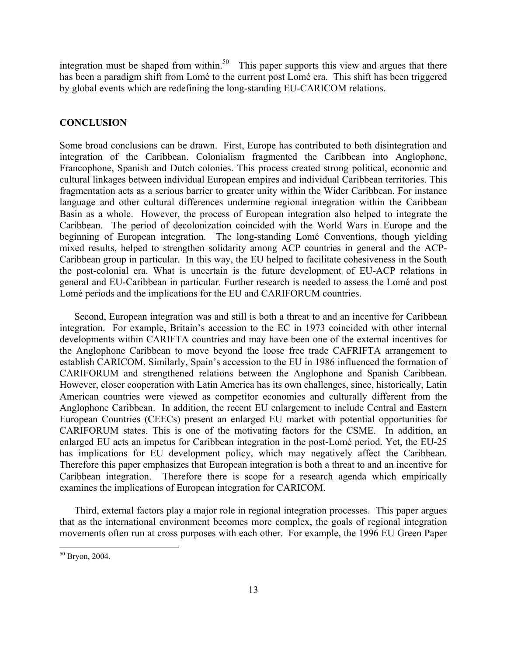integration must be shaped from within.<sup>50</sup> This paper supports this view and argues that there has been a paradigm shift from Lomé to the current post Lomé era. This shift has been triggered by global events which are redefining the long-standing EU-CARICOM relations.

## **CONCLUSION**

Some broad conclusions can be drawn. First, Europe has contributed to both disintegration and integration of the Caribbean. Colonialism fragmented the Caribbean into Anglophone, Francophone, Spanish and Dutch colonies. This process created strong political, economic and cultural linkages between individual European empires and individual Caribbean territories. This fragmentation acts as a serious barrier to greater unity within the Wider Caribbean. For instance language and other cultural differences undermine regional integration within the Caribbean Basin as a whole. However, the process of European integration also helped to integrate the Caribbean. The period of decolonization coincided with the World Wars in Europe and the beginning of European integration. The long-standing Lomé Conventions, though yielding mixed results, helped to strengthen solidarity among ACP countries in general and the ACP-Caribbean group in particular. In this way, the EU helped to facilitate cohesiveness in the South the post-colonial era. What is uncertain is the future development of EU-ACP relations in general and EU-Caribbean in particular. Further research is needed to assess the Lomé and post Lomé periods and the implications for the EU and CARIFORUM countries.

Second, European integration was and still is both a threat to and an incentive for Caribbean integration. For example, Britain's accession to the EC in 1973 coincided with other internal developments within CARIFTA countries and may have been one of the external incentives for the Anglophone Caribbean to move beyond the loose free trade CAFRIFTA arrangement to establish CARICOM. Similarly, Spain's accession to the EU in 1986 influenced the formation of CARIFORUM and strengthened relations between the Anglophone and Spanish Caribbean. However, closer cooperation with Latin America has its own challenges, since, historically, Latin American countries were viewed as competitor economies and culturally different from the Anglophone Caribbean. In addition, the recent EU enlargement to include Central and Eastern European Countries (CEECs) present an enlarged EU market with potential opportunities for CARIFORUM states. This is one of the motivating factors for the CSME. In addition, an enlarged EU acts an impetus for Caribbean integration in the post-Lomé period. Yet, the EU-25 has implications for EU development policy, which may negatively affect the Caribbean. Therefore this paper emphasizes that European integration is both a threat to and an incentive for Caribbean integration. Therefore there is scope for a research agenda which empirically examines the implications of European integration for CARICOM.

Third, external factors play a major role in regional integration processes. This paper argues that as the international environment becomes more complex, the goals of regional integration movements often run at cross purposes with each other. For example, the 1996 EU Green Paper

<sup>50</sup> Bryon, 2004.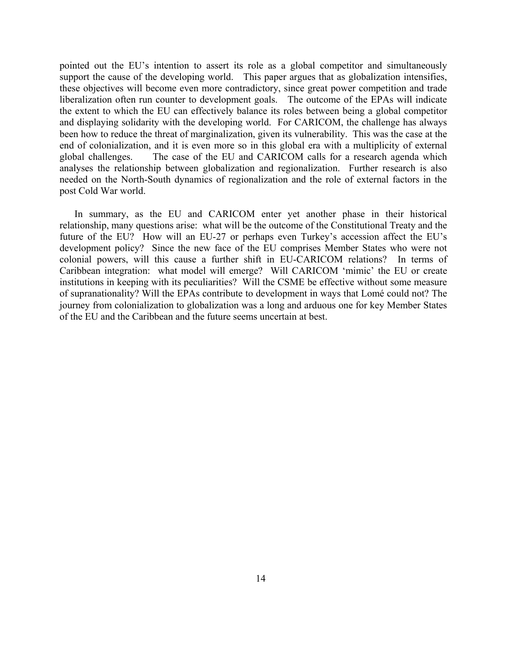pointed out the EU's intention to assert its role as a global competitor and simultaneously support the cause of the developing world. This paper argues that as globalization intensifies, these objectives will become even more contradictory, since great power competition and trade liberalization often run counter to development goals. The outcome of the EPAs will indicate the extent to which the EU can effectively balance its roles between being a global competitor and displaying solidarity with the developing world. For CARICOM, the challenge has always been how to reduce the threat of marginalization, given its vulnerability. This was the case at the end of colonialization, and it is even more so in this global era with a multiplicity of external global challenges. The case of the EU and CARICOM calls for a research agenda which analyses the relationship between globalization and regionalization. Further research is also needed on the North-South dynamics of regionalization and the role of external factors in the post Cold War world.

In summary, as the EU and CARICOM enter yet another phase in their historical relationship, many questions arise: what will be the outcome of the Constitutional Treaty and the future of the EU? How will an EU-27 or perhaps even Turkey's accession affect the EU's development policy? Since the new face of the EU comprises Member States who were not colonial powers, will this cause a further shift in EU-CARICOM relations? In terms of Caribbean integration: what model will emerge? Will CARICOM 'mimic' the EU or create institutions in keeping with its peculiarities? Will the CSME be effective without some measure of supranationality? Will the EPAs contribute to development in ways that Lomé could not? The journey from colonialization to globalization was a long and arduous one for key Member States of the EU and the Caribbean and the future seems uncertain at best.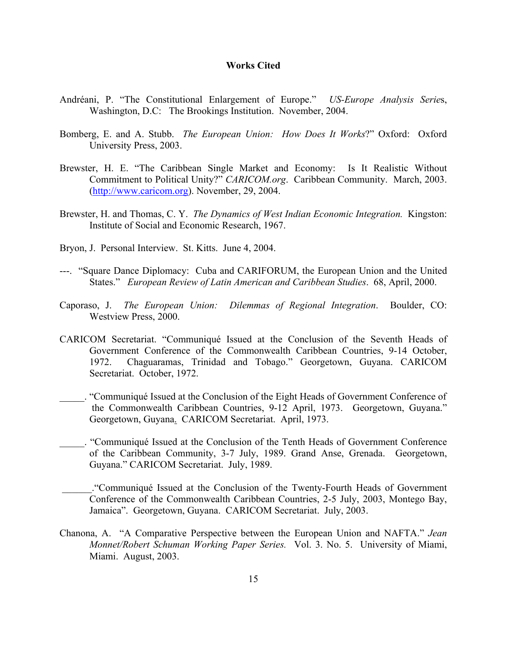#### **Works Cited**

- Andréani, P. "The Constitutional Enlargement of Europe." *US-Europe Analysis Serie*s, Washington, D.C: The Brookings Institution. November, 2004.
- Bomberg, E. and A. Stubb. *The European Union: How Does It Works*?" Oxford: Oxford University Press, 2003.
- Brewster, H. E. "The Caribbean Single Market and Economy: Is It Realistic Without Commitment to Political Unity?" *CARICOM.org*. Caribbean Community. March, 2003. (http://www.caricom.org). November, 29, 2004.
- Brewster, H. and Thomas, C. Y. *The Dynamics of West Indian Economic Integration.* Kingston: Institute of Social and Economic Research, 1967.
- Bryon, J. Personal Interview. St. Kitts. June 4, 2004.
- ---. "Square Dance Diplomacy: Cuba and CARIFORUM, the European Union and the United States." *European Review of Latin American and Caribbean Studies*. 68, April, 2000.
- Caporaso, J. *The European Union: Dilemmas of Regional Integration*. Boulder, CO: Westview Press, 2000.
- CARICOM Secretariat. "Communiqué Issued at the Conclusion of the Seventh Heads of Government Conference of the Commonwealth Caribbean Countries, 9-14 October, 1972. Chaguaramas, Trinidad and Tobago." Georgetown, Guyana. CARICOM Secretariat. October, 1972.
- \_\_\_\_\_. "Communiqué Issued at the Conclusion of the Eight Heads of Government Conference of the Commonwealth Caribbean Countries, 9-12 April, 1973. Georgetown, Guyana." Georgetown, Guyana. CARICOM Secretariat. April, 1973.
- \_\_\_\_\_. "Communiqué Issued at the Conclusion of the Tenth Heads of Government Conference of the Caribbean Community, 3-7 July, 1989. Grand Anse, Grenada. Georgetown, Guyana." CARICOM Secretariat. July, 1989.
- \_\_\_\_\_\_."Communiqué Issued at the Conclusion of the Twenty-Fourth Heads of Government Conference of the Commonwealth Caribbean Countries, 2-5 July, 2003, Montego Bay, Jamaica". Georgetown, Guyana. CARICOM Secretariat. July, 2003.
- Chanona, A. "A Comparative Perspective between the European Union and NAFTA." *Jean Monnet/Robert Schuman Working Paper Series.* Vol. 3. No. 5. University of Miami, Miami. August, 2003.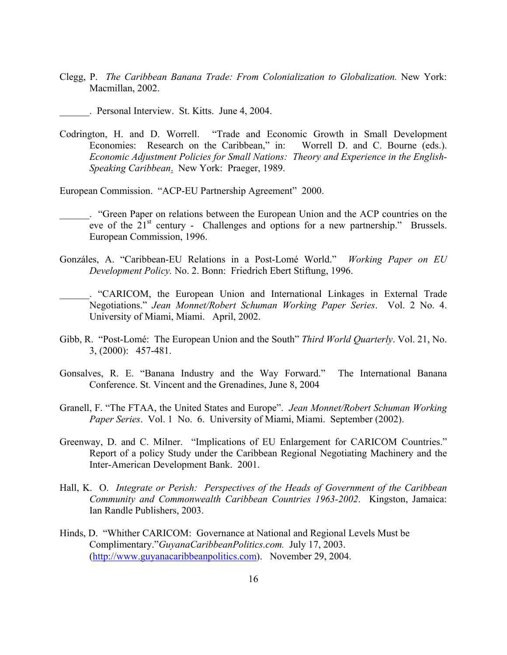- Clegg, P. *The Caribbean Banana Trade: From Colonialization to Globalization.* New York: Macmillan, 2002.
	- \_\_\_\_\_\_. Personal Interview. St. Kitts. June 4, 2004.
- Codrington, H. and D. Worrell. "Trade and Economic Growth in Small Development Economies: Research on the Caribbean," in: Worrell D. and C. Bourne (eds.). *Economic Adjustment Policies for Small Nations: Theory and Experience in the English-Speaking Caribbean*. New York: Praeger, 1989.

European Commission. "ACP-EU Partnership Agreement" 2000.

- \_\_\_\_\_\_. "Green Paper on relations between the European Union and the ACP countries on the eve of the  $21<sup>st</sup>$  century - Challenges and options for a new partnership." Brussels. European Commission, 1996.
- Gonzáles, A. "Caribbean-EU Relations in a Post-Lomé World." *Working Paper on EU Development Policy.* No. 2. Bonn: Friedrich Ebert Stiftung, 1996.
- \_\_\_\_\_\_. "CARICOM, the European Union and International Linkages in External Trade Negotiations." *Jean Monnet/Robert Schuman Working Paper Series*. Vol. 2 No. 4. University of Miami, Miami. April, 2002.
- Gibb, R. "Post-Lomé: The European Union and the South" *Third World Quarterly*. Vol. 21, No. 3, (2000): 457-481.
- Gonsalves, R. E. "Banana Industry and the Way Forward." The International Banana Conference. St. Vincent and the Grenadines, June 8, 2004
- Granell, F. "The FTAA, the United States and Europe". *Jean Monnet/Robert Schuman Working Paper Series*. Vol. 1 No. 6. University of Miami, Miami. September (2002).
- Greenway, D. and C. Milner. "Implications of EU Enlargement for CARICOM Countries." Report of a policy Study under the Caribbean Regional Negotiating Machinery and the Inter-American Development Bank. 2001.
- Hall, K. O. *Integrate or Perish: Perspectives of the Heads of Government of the Caribbean Community and Commonwealth Caribbean Countries 1963-2002*. Kingston, Jamaica: Ian Randle Publishers, 2003.
- Hinds, D. "Whither CARICOM: Governance at National and Regional Levels Must be Complimentary."*GuyanaCaribbeanPolitics.com.* July 17, 2003. (http://www.guyanacaribbeanpolitics.com). November 29, 2004.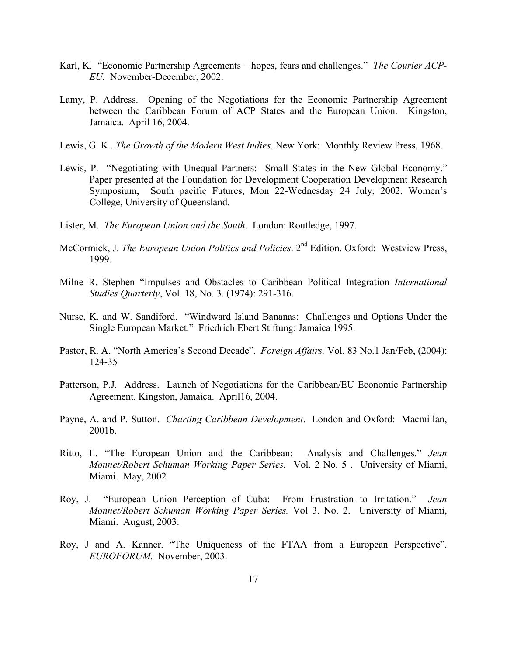- Karl, K. "Economic Partnership Agreements hopes, fears and challenges." *The Courier ACP-EU.* November-December, 2002.
- Lamy, P. Address. Opening of the Negotiations for the Economic Partnership Agreement between the Caribbean Forum of ACP States and the European Union. Kingston, Jamaica. April 16, 2004.
- Lewis, G. K . *The Growth of the Modern West Indies.* New York: Monthly Review Press, 1968.
- Lewis, P. "Negotiating with Unequal Partners: Small States in the New Global Economy." Paper presented at the Foundation for Development Cooperation Development Research Symposium, South pacific Futures, Mon 22-Wednesday 24 July, 2002. Women's College, University of Queensland.
- Lister, M. *The European Union and the South*. London: Routledge, 1997.
- McCormick, J. *The European Union Politics and Policies*. 2<sup>nd</sup> Edition. Oxford: Westview Press, 1999.
- Milne R. Stephen "Impulses and Obstacles to Caribbean Political Integration *International Studies Quarterly*, Vol. 18, No. 3. (1974): 291-316.
- Nurse, K. and W. Sandiford. "Windward Island Bananas: Challenges and Options Under the Single European Market." Friedrich Ebert Stiftung: Jamaica 1995.
- Pastor, R. A. "North America's Second Decade". *Foreign Affairs.* Vol. 83 No.1 Jan/Feb, (2004): 124-35
- Patterson, P.J. Address. Launch of Negotiations for the Caribbean/EU Economic Partnership Agreement. Kingston, Jamaica. April16, 2004.
- Payne, A. and P. Sutton. *Charting Caribbean Development*. London and Oxford: Macmillan, 2001b.
- Ritto, L. "The European Union and the Caribbean: Analysis and Challenges." *Jean Monnet/Robert Schuman Working Paper Series.* Vol. 2 No. 5 . University of Miami, Miami. May, 2002
- Roy, J. "European Union Perception of Cuba: From Frustration to Irritation." *Jean Monnet/Robert Schuman Working Paper Series.* Vol 3. No. 2. University of Miami, Miami. August, 2003.
- Roy, J and A. Kanner. "The Uniqueness of the FTAA from a European Perspective". *EUROFORUM.* November, 2003.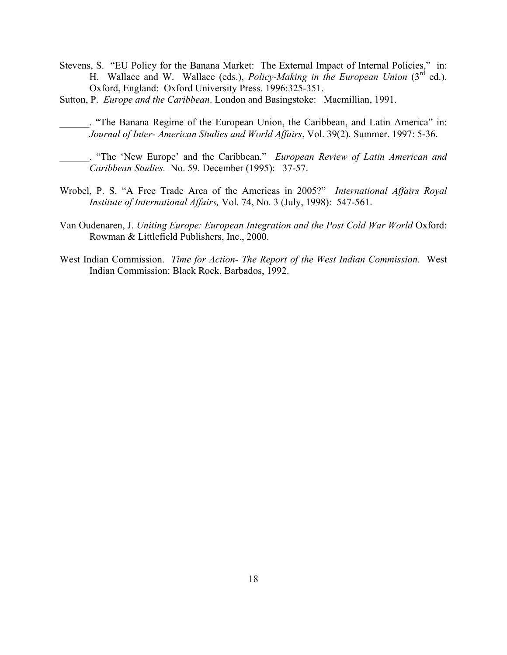- Stevens, S. "EU Policy for the Banana Market: The External Impact of Internal Policies," in: H. Wallace and W. Wallace (eds.), *Policy-Making in the European Union* (3<sup>rd</sup> ed.). Oxford, England: Oxford University Press. 1996:325-351.
- Sutton, P. *Europe and the Caribbean*. London and Basingstoke: Macmillian, 1991.

\_\_\_\_\_\_. "The Banana Regime of the European Union, the Caribbean, and Latin America" in: *Journal of Inter- American Studies and World Affairs*, Vol. 39(2). Summer. 1997: 5-36.

\_\_\_\_\_\_. "The 'New Europe' and the Caribbean." *European Review of Latin American and Caribbean Studies.* No. 59. December (1995): 37-57.

- Wrobel, P. S. "A Free Trade Area of the Americas in 2005?" *International Affairs Royal Institute of International Affairs,* Vol. 74, No. 3 (July, 1998): 547-561.
- Van Oudenaren, J. *Uniting Europe: European Integration and the Post Cold War World* Oxford: Rowman & Littlefield Publishers, Inc., 2000.
- West Indian Commission. *Time for Action- The Report of the West Indian Commission*. West Indian Commission: Black Rock, Barbados, 1992.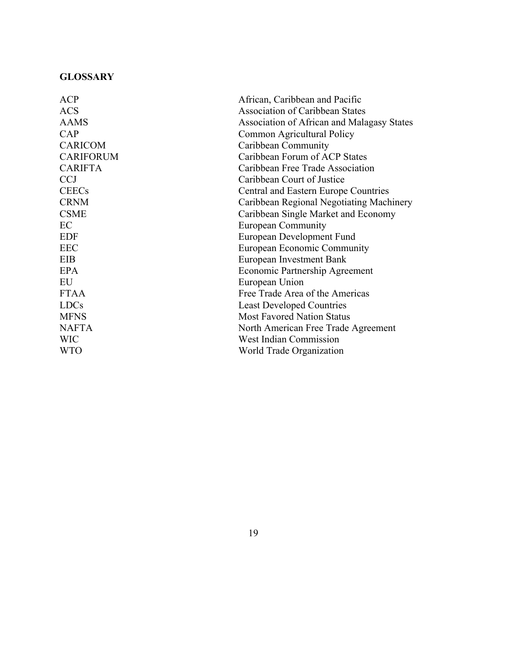# **GLOSSARY**

| <b>ACP</b>       | African, Caribbean and Pacific             |
|------------------|--------------------------------------------|
| <b>ACS</b>       | <b>Association of Caribbean States</b>     |
| <b>AAMS</b>      | Association of African and Malagasy States |
| CAP              | Common Agricultural Policy                 |
| <b>CARICOM</b>   | Caribbean Community                        |
| <b>CARIFORUM</b> | Caribbean Forum of ACP States              |
| <b>CARIFTA</b>   | Caribbean Free Trade Association           |
| <b>CCJ</b>       | Caribbean Court of Justice                 |
| <b>CEECs</b>     | Central and Eastern Europe Countries       |
| <b>CRNM</b>      | Caribbean Regional Negotiating Machinery   |
| <b>CSME</b>      | Caribbean Single Market and Economy        |
| EC               | <b>European Community</b>                  |
| <b>EDF</b>       | European Development Fund                  |
| <b>EEC</b>       | European Economic Community                |
| EIB              | European Investment Bank                   |
| <b>EPA</b>       | Economic Partnership Agreement             |
| EU               | European Union                             |
| <b>FTAA</b>      | Free Trade Area of the Americas            |
| <b>LDCs</b>      | <b>Least Developed Countries</b>           |
| <b>MFNS</b>      | <b>Most Favored Nation Status</b>          |
| <b>NAFTA</b>     | North American Free Trade Agreement        |
| <b>WIC</b>       | West Indian Commission                     |
| <b>WTO</b>       | World Trade Organization                   |
|                  |                                            |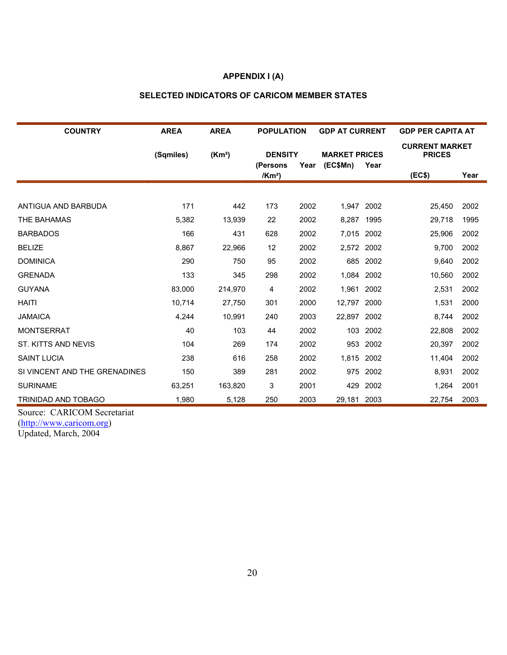## **APPENDIX I (A)**

### **SELECTED INDICATORS OF CARICOM MEMBER STATES**

| <b>COUNTRY</b>                | <b>AREA</b> | <b>AREA</b>        | <b>POPULATION</b>            |      | <b>GDP AT CURRENT</b> |      | <b>GDP PER CAPITA AT</b>               |      |
|-------------------------------|-------------|--------------------|------------------------------|------|-----------------------|------|----------------------------------------|------|
|                               | (Sqmiles)   | (Km <sup>2</sup> ) | <b>DENSITY</b>               |      | <b>MARKET PRICES</b>  |      | <b>CURRENT MARKET</b><br><b>PRICES</b> |      |
|                               |             |                    | (Persons<br>/Km <sup>2</sup> | Year | (EC\$Mn)              | Year | (EC\$)                                 | Year |
|                               |             |                    |                              |      |                       |      |                                        |      |
| ANTIGUA AND BARBUDA           | 171         | 442                | 173                          | 2002 | 1,947 2002            |      | 25,450                                 | 2002 |
| THE BAHAMAS                   | 5,382       | 13,939             | 22                           | 2002 | 8,287                 | 1995 | 29,718                                 | 1995 |
| <b>BARBADOS</b>               | 166         | 431                | 628                          | 2002 | 7,015                 | 2002 | 25,906                                 | 2002 |
| <b>BELIZE</b>                 | 8,867       | 22,966             | 12                           | 2002 | 2,572                 | 2002 | 9,700                                  | 2002 |
| <b>DOMINICA</b>               | 290         | 750                | 95                           | 2002 | 685                   | 2002 | 9,640                                  | 2002 |
| <b>GRENADA</b>                | 133         | 345                | 298                          | 2002 | 1.084                 | 2002 | 10,560                                 | 2002 |
| <b>GUYANA</b>                 | 83,000      | 214,970            | 4                            | 2002 | 1,961                 | 2002 | 2,531                                  | 2002 |
| <b>HAITI</b>                  | 10,714      | 27,750             | 301                          | 2000 | 12,797                | 2000 | 1,531                                  | 2000 |
| <b>JAMAICA</b>                | 4,244       | 10,991             | 240                          | 2003 | 22,897                | 2002 | 8,744                                  | 2002 |
| <b>MONTSERRAT</b>             | 40          | 103                | 44                           | 2002 | 103                   | 2002 | 22,808                                 | 2002 |
| <b>ST. KITTS AND NEVIS</b>    | 104         | 269                | 174                          | 2002 | 953                   | 2002 | 20,397                                 | 2002 |
| <b>SAINT LUCIA</b>            | 238         | 616                | 258                          | 2002 | 1,815                 | 2002 | 11,404                                 | 2002 |
| SI VINCENT AND THE GRENADINES | 150         | 389                | 281                          | 2002 | 975                   | 2002 | 8,931                                  | 2002 |
| <b>SURINAME</b>               | 63,251      | 163,820            | 3                            | 2001 | 429                   | 2002 | 1,264                                  | 2001 |
| <b>TRINIDAD AND TOBAGO</b>    | 1,980       | 5,128              | 250                          | 2003 | 29,181                | 2003 | 22,754                                 | 2003 |

Source: CARICOM Secretariat

(http://www.caricom.org)

Updated, March, 2004